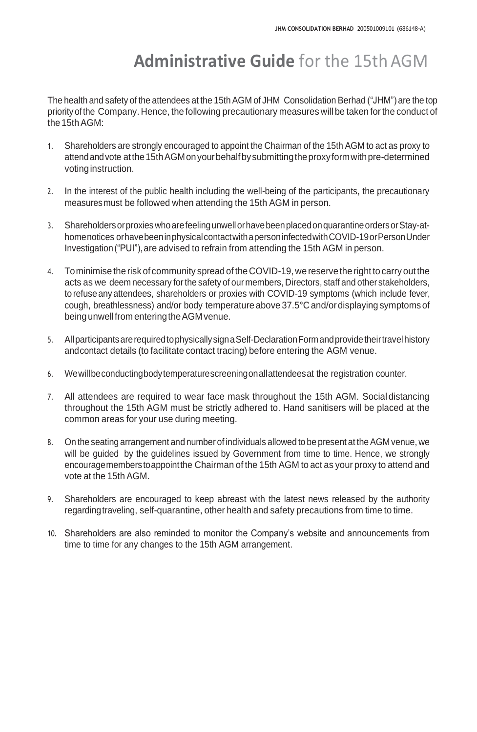## **Administrative Guide** for the 15th AGM

The health and safety of the attendees at the 15th AGM of JHM Consolidation Berhad ("JHM") are the top priorityofthe Company. Hence, the following precautionary measures will be taken forthe conduct of the 15thAGM:

- 1. Shareholders are strongly encouraged to appoint the Chairman of the 15th AGM to act as proxy to attend and vote at the 15th AGM on your behalf by submitting the proxy form with pre-determined voting instruction.
- 2. In the interest of the public health including the well-being of the participants, the precautionary measuresmust be followed when attending the 15th AGM in person.
- 3. ShareholdersorproxieswhoarefeelingunwellorhavebeenplacedonquarantineordersorStay-athomenotices orhavebeeninphysicalcontactwithapersoninfectedwithCOVID-19orPersonUnder Investigation ("PUI"), are advised to refrain from attending the 15th AGM in person.
- 4. Tominimise the risk of community spread of the COVID-19, we reservethe right to carry outthe acts as we deem necessary forthe safety of our members, Directors, staff and other stakeholders, to refuse any attendees, shareholders or proxies with COVID-19 symptoms (which include fever, cough, breathlessness) and/or body temperature above 37.5°Cand/ordisplaying symptoms of being unwell from entering the AGM venue.
- 5. All participants are required to physically sign a Self-Declaration Form and provide their travel history andcontact details (to facilitate contact tracing) before entering the AGM venue.
- 6. Wewillbeconductingbodytemperaturescreeningonallattendeesat the registration counter.
- 7. All attendees are required to wear face mask throughout the 15th AGM. Social distancing throughout the 15th AGM must be strictly adhered to. Hand sanitisers will be placed at the common areas for your use during meeting.
- 8. On the seating arrangement and number of individuals allowed to be present at the AGM venue, we will be guided by the guidelines issued by Government from time to time. Hence, we strongly encouragememberstoappointthe Chairman of the 15th AGM to act as your proxy to attend and vote at the 15th AGM.
- 9. Shareholders are encouraged to keep abreast with the latest news released by the authority regarding traveling, self-quarantine, other health and safety precautions from time to time.
- 10. Shareholders are also reminded to monitor the Company's website and announcements from time to time for any changes to the 15th AGM arrangement.